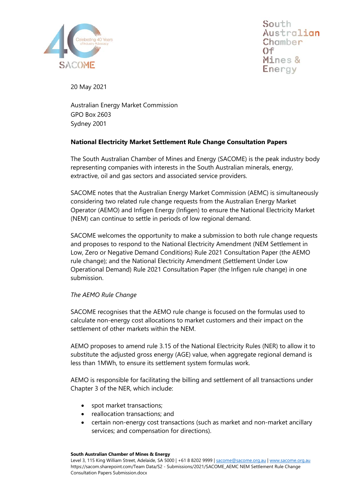

South Australian Chamber  $Of$ Mines & Energy

20 May 2021

Australian Energy Market Commission GPO Box 2603 Sydney 2001

## **National Electricity Market Settlement Rule Change Consultation Papers**

The South Australian Chamber of Mines and Energy (SACOME) is the peak industry body representing companies with interests in the South Australian minerals, energy, extractive, oil and gas sectors and associated service providers.

SACOME notes that the Australian Energy Market Commission (AEMC) is simultaneously considering two related rule change requests from the Australian Energy Market Operator (AEMO) and Infigen Energy (Infigen) to ensure the National Electricity Market (NEM) can continue to settle in periods of low regional demand.

SACOME welcomes the opportunity to make a submission to both rule change requests and proposes to respond to the National Electricity Amendment (NEM Settlement in Low, Zero or Negative Demand Conditions) Rule 2021 Consultation Paper (the AEMO rule change); and the National Electricity Amendment (Settlement Under Low Operational Demand) Rule 2021 Consultation Paper (the Infigen rule change) in one submission.

## *The AEMO Rule Change*

SACOME recognises that the AEMO rule change is focused on the formulas used to calculate non-energy cost allocations to market customers and their impact on the settlement of other markets within the NEM.

AEMO proposes to amend rule 3.15 of the National Electricity Rules (NER) to allow it to substitute the adjusted gross energy (AGE) value, when aggregate regional demand is less than 1MWh, to ensure its settlement system formulas work.

AEMO is responsible for facilitating the billing and settlement of all transactions under Chapter 3 of the NER, which include:

- spot market transactions;
- reallocation transactions; and
- certain non-energy cost transactions (such as market and non-market ancillary services; and compensation for directions).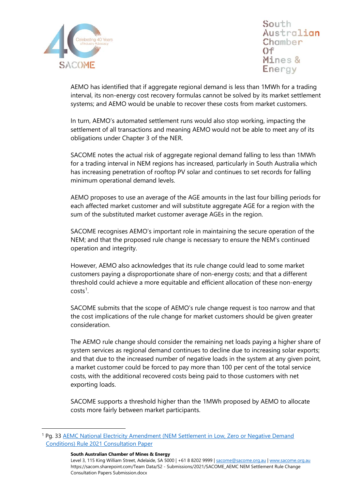

South Australian Chamber  $0<sup>6</sup>$ Mines & **Energy** 

AEMO has identified that if aggregate regional demand is less than 1MWh for a trading interval, its non-energy cost recovery formulas cannot be solved by its market settlement systems; and AEMO would be unable to recover these costs from market customers.

In turn, AEMO's automated settlement runs would also stop working, impacting the settlement of all transactions and meaning AEMO would not be able to meet any of its obligations under Chapter 3 of the NER.

SACOME notes the actual risk of aggregate regional demand falling to less than 1MWh for a trading interval in NEM regions has increased, particularly in South Australia which has increasing penetration of rooftop PV solar and continues to set records for falling minimum operational demand levels.

AEMO proposes to use an average of the AGE amounts in the last four billing periods for each affected market customer and will substitute aggregate AGE for a region with the sum of the substituted market customer average AGEs in the region.

SACOME recognises AEMO's important role in maintaining the secure operation of the NEM; and that the proposed rule change is necessary to ensure the NEM's continued operation and integrity.

However, AEMO also acknowledges that its rule change could lead to some market customers paying a disproportionate share of non-energy costs; and that a different threshold could achieve a more equitable and efficient allocation of these non-energy  $costs<sup>1</sup>$  $costs<sup>1</sup>$  $costs<sup>1</sup>$ .

SACOME submits that the scope of AEMO's rule change request is too narrow and that the cost implications of the rule change for market customers should be given greater consideration.

The AEMO rule change should consider the remaining net loads paying a higher share of system services as regional demand continues to decline due to increasing solar exports; and that due to the increased number of negative loads in the system at any given point, a market customer could be forced to pay more than 100 per cent of the total service costs, with the additional recovered costs being paid to those customers with net exporting loads.

SACOME supports a threshold higher than the 1MWh proposed by AEMO to allocate costs more fairly between market participants.

**South Australian Chamber of Mines & Energy**

Level 3, 115 King William Street, Adelaide, SA 5000 | +61 8 8202 9999 | [sacome@sacome.org.au](mailto:sacome@sacome.org.au) [| www.sacome.org.au](http://www.sacome.org.au/) https://sacom.sharepoint.com/Team Data/S2 - Submissions/2021/SACOME\_AEMC NEM Settlement Rule Change Consultation Papers Submission.docx

<span id="page-1-0"></span><sup>&</sup>lt;sup>1</sup> Pg. 33 AEMC National Electricity Amendment (NEM Settlement in Low, Zero or Negative Demand Conditions) Rule 2021 Consultation Paper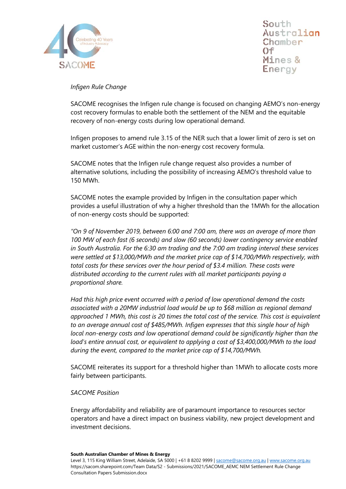

South Australian Chamber  $()f$ Mines & Energy

## *Infigen Rule Change*

SACOME recognises the Infigen rule change is focused on changing AEMO's non-energy cost recovery formulas to enable both the settlement of the NEM and the equitable recovery of non-energy costs during low operational demand.

Infigen proposes to amend rule 3.15 of the NER such that a lower limit of zero is set on market customer's AGE within the non-energy cost recovery formula.

SACOME notes that the Infigen rule change request also provides a number of alternative solutions, including the possibility of increasing AEMO's threshold value to 150 MWh.

SACOME notes the example provided by Infigen in the consultation paper which provides a useful illustration of why a higher threshold than the 1MWh for the allocation of non-energy costs should be supported:

*"On 9 of November 2019, between 6:00 and 7:00 am, there was an average of more than 100 MW of each fast (6 seconds) and slow (60 seconds) lower contingency service enabled in South Australia. For the 6:30 am trading and the 7:00 am trading interval these services were settled at \$13,000/MWh and the market price cap of \$14,700/MWh respectively, with total costs for these services over the hour period of \$3.4 million. These costs were distributed according to the current rules with all market participants paying a proportional share.* 

*Had this high price event occurred with a period of low operational demand the costs associated with a 20MW industrial load would be up to \$68 million as regional demand approached 1 MWh, this cost is 20 times the total cost of the service. This cost is equivalent to an average annual cost of \$485/MWh. Infigen expresses that this single hour of high local non-energy costs and low operational demand could be significantly higher than the load's entire annual cost, or equivalent to applying a cost of \$3,400,000/MWh to the load during the event, compared to the market price cap of \$14,700/MWh.*

SACOME reiterates its support for a threshold higher than 1MWh to allocate costs more fairly between participants.

## *SACOME Position*

Energy affordability and reliability are of paramount importance to resources sector operators and have a direct impact on business viability, new project development and investment decisions.